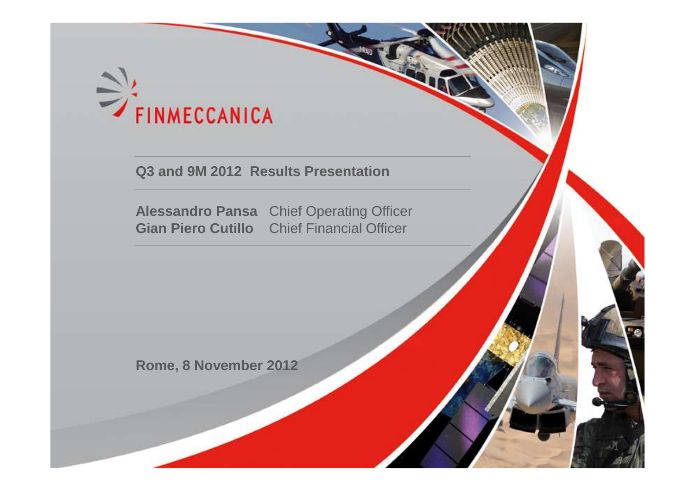

### **Q3 and 9M 2012 Results Presentation**

**Alessandro Pansa** Chief Operating Officer**Gian Piero Cutillo**  Chief Financial Officer

1

**Rome, 8 November 2012**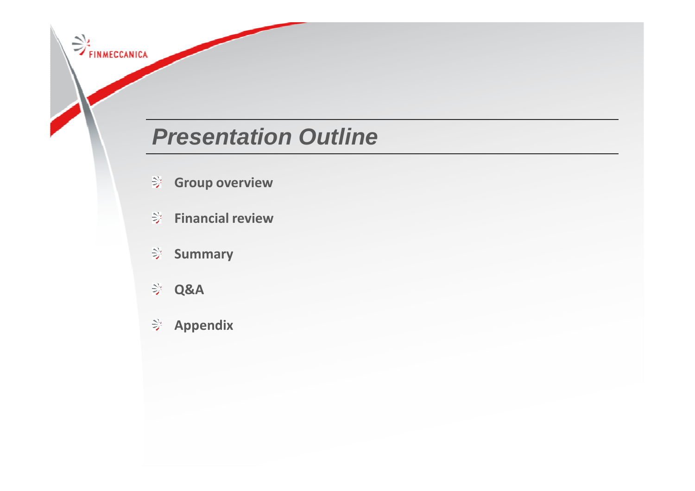# **Presentation Outline**

- **Group overview**
- **Financial review**
- **Summary**
- **ABQ**

FINMECCANICA

**Appendix**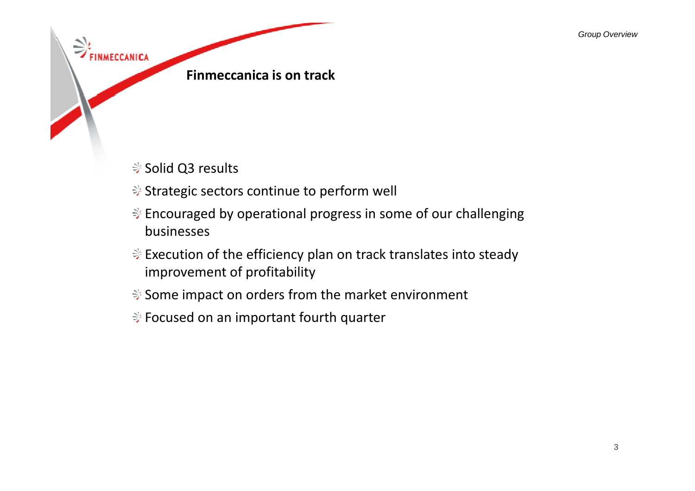Group Overview



- **Solid Q3 results**
- <del></del>  $$$  Strategic sectors continue to perform well
- $\Rightarrow$  Encouraged by operational progress in some of our challenging businesses
- $\Rightarrow$  Execution of the efficiency plan on track translates into steady improvement of profitability
- <del></del>  $\diamondsuit$  Some impact on orders from the market environment
- <del></del>  $\Rightarrow$  Focused on an important fourth quarter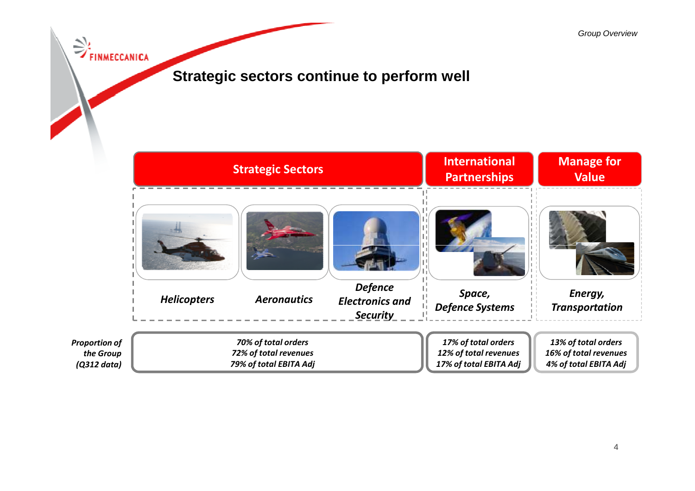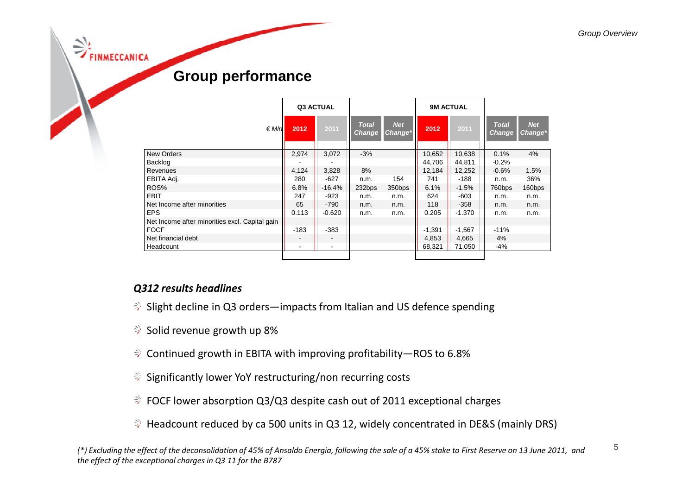**NMECCANICA** 

|  | <b>Group performance</b> |
|--|--------------------------|
|--|--------------------------|

|                                                | Q3 ACTUAL |                          | <b>9M ACTUAL</b>              |                       |          |          |                               |                       |
|------------------------------------------------|-----------|--------------------------|-------------------------------|-----------------------|----------|----------|-------------------------------|-----------------------|
| $\epsilon$ Mln                                 | 2012      | 2011                     | <b>Total</b><br><b>Change</b> | <b>Net</b><br>Change* | 2012     | 2011     | <b>Total</b><br><b>Change</b> | <b>Net</b><br>Change* |
| <b>New Orders</b>                              | 2,974     | 3,072                    | $-3%$                         |                       | 10,652   | 10,638   | 0.1%                          | 4%                    |
| Backlog                                        |           |                          |                               |                       | 44,706   | 44,811   | $-0.2%$                       |                       |
| Revenues                                       | 4,124     | 3,828                    | 8%                            |                       | 12,184   | 12,252   | $-0.6%$                       | 1.5%                  |
| EBITA Adj.                                     | 280       | $-627$                   | n.m.                          | 154                   | 741      | $-188$   | n.m.                          | 36%                   |
| ROS%                                           | 6.8%      | $-16.4%$                 | 232bps                        | 350bps                | 6.1%     | $-1.5%$  | 760bps                        | 160bps                |
| <b>EBIT</b>                                    | 247       | $-923$                   | n.m.                          | n.m.                  | 624      | $-603$   | n.m.                          | n.m.                  |
| Net Income after minorities                    | 65        | $-790$                   | n.m.                          | n.m.                  | 118      | $-358$   | n.m.                          | n.m.                  |
| <b>EPS</b>                                     | 0.113     | $-0.620$                 | n.m.                          | n.m.                  | 0.205    | $-1.370$ | n.m.                          | n.m.                  |
| Net Income after minorities excl. Capital gain |           |                          |                               |                       |          |          |                               |                       |
| <b>FOCF</b>                                    | $-183$    | $-383$                   |                               |                       | $-1,391$ | $-1,567$ | $-11%$                        |                       |
| Net financial debt                             |           |                          |                               |                       | 4,853    | 4,665    | 4%                            |                       |
| Headcount                                      |           | $\overline{\phantom{a}}$ |                               |                       | 68,321   | 71.050   | -4%                           |                       |
|                                                |           |                          |                               |                       |          |          |                               |                       |

### *Q312 results headlines*

- $\Diamond$  Slight decline in Q3 orders—impacts from Italian and US defence spending
- $\Rightarrow$  Solid revenue growth up 8%
- $\Diamond$  Continued growth in EBITA with improving profitability—ROS to 6.8%
- **Significantly lower YoY restructuring/non recurring costs**
- **→ FOCF lower absorption Q3/Q3 despite cash out of 2011 exceptional charges**
- $\Rightarrow$  Headcount reduced by ca 500 units in Q3 12, widely concentrated in DE&S (mainly DRS)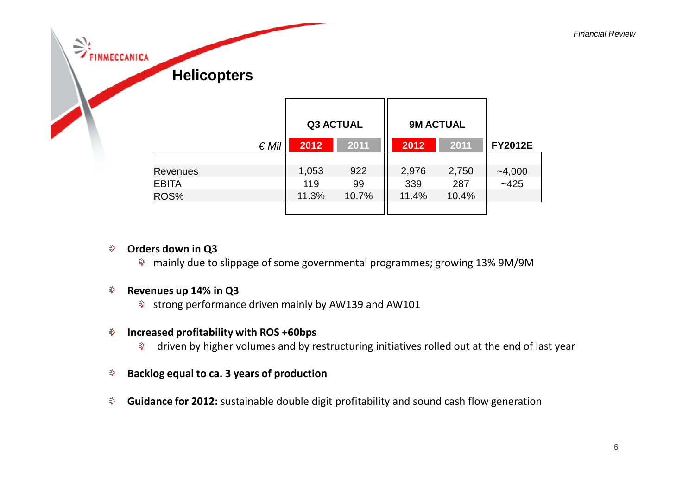| $\theta_{\rm b}$<br>$\Rightarrow$<br>FINMECCANICA | <b>Helicopters</b> |       |                  |                  |       |                |
|---------------------------------------------------|--------------------|-------|------------------|------------------|-------|----------------|
|                                                   |                    |       | <b>Q3 ACTUAL</b> | <b>9M ACTUAL</b> |       |                |
|                                                   | $\in$ Mil          | 2012  | 2011             | 2012             | 2011  | <b>FY2012E</b> |
|                                                   |                    |       |                  |                  |       |                |
|                                                   | <b>Revenues</b>    | 1,053 | 922              | 2,976            | 2,750 | $-4,000$       |
|                                                   | <b>EBITA</b>       | 119   | 99               | 339              | 287   | $-425$         |
|                                                   | ROS%               | 11.3% | 10.7%            | 11.4%            | 10.4% |                |
|                                                   |                    |       |                  |                  |       |                |

- **Orders down in Q3**
	- mainly due to slippage of some governmental programmes; growing 13% 9M/9M

#### 孪 **Revenues up 14% in Q3**

strong performance driven mainly by AW139 and AW101

#### **Increased profitability with ROS +60bps**學。

- driven by higher volumes and by restructuring initiatives rolled out at the end of last year
- **Backlog equal to ca. 3 years of production**學
- **Guidance for 2012:** sustainable double digit profitability and sound cash flow generation學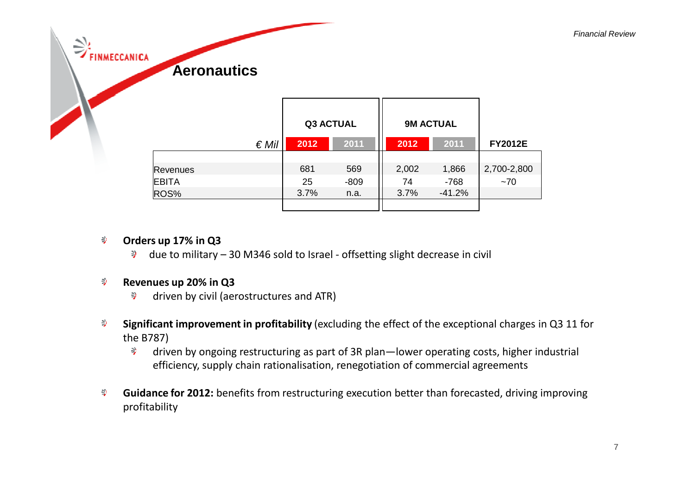| ۰.<br>$\Rightarrow$<br><b>FINMECCANICA</b> | <b>Aeronautics</b> |      |                  |       |                  |                |
|--------------------------------------------|--------------------|------|------------------|-------|------------------|----------------|
|                                            |                    |      | <b>Q3 ACTUAL</b> |       | <b>9M ACTUAL</b> |                |
|                                            | $\epsilon$ Mil     | 2012 | 2011             | 2012  | 2011             | <b>FY2012E</b> |
|                                            |                    |      |                  |       |                  |                |
|                                            | <b>Revenues</b>    | 681  | 569              | 2,002 | 1,866            | 2,700-2,800    |
|                                            | <b>EBITA</b>       | 25   | $-809$           | 74    | -768             | ~1             |
|                                            | ROS%               | 3.7% | n.a.             | 3.7%  | $-41.2%$         |                |
|                                            |                    |      |                  |       |                  |                |

#### $\frac{1}{2}$ **Orders up 17% in Q3**

due to military – 30 M346 sold to Israel - offsetting slight decrease in civil

#### **Revenues up 20% in Q3** $\Rightarrow$

- $\gtrsim$ driven by civil (aerostructures and ATR)
- **Significant improvement in profitability** (excluding the effect of the exceptional charges in Q3 11 for ₹ the B787)
	- driven by ongoing restructuring as part of 3R plan—lower operating costs, higher industrial  $\frac{|\mathcal{S}|}{2}$ efficiency, supply chain rationalisation, renegotiation of commercial agreements
- $\frac{N}{2}$ **Guidance for 2012:** benefits from restructuring execution better than forecasted, driving improving profitability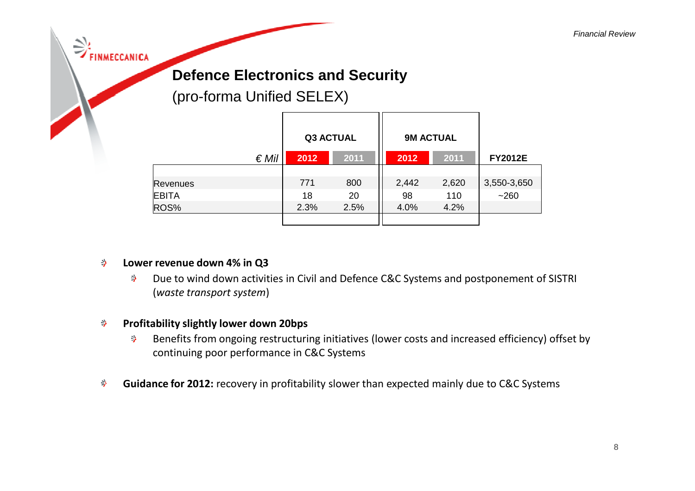### FINMECCANICA

### **Defence Electronics and Security**

(pro-forma Unified SELEX)

|              |      | <b>Q3 ACTUAL</b> |       | <b>9M ACTUAL</b> |                |
|--------------|------|------------------|-------|------------------|----------------|
| $\notin$ Mil | 2012 | 2011             | 2012  | 2011             | <b>FY2012E</b> |
|              |      |                  |       |                  |                |
| Revenues     | 771  | 800              | 2,442 | 2,620            | 3,550-3,650    |
| <b>EBITA</b> | 18   | 20               | 98    | 110              | $-260$         |
| ROS%         | 2.3% | 2.5%             | 4.0%  | 4.2%             |                |
|              |      |                  |       |                  |                |

#### **Lower revenue down 4% in Q3** $\hat{z}^{\lambda}_{\ell}$

 Due to wind down activities in Civil and Defence C&C Systems and postponement of SISTRI  $\Rightarrow$ (*waste transport system*)

#### **Profitability slightly lower down 20bps** $\Rightarrow$

- Benefits from ongoing restructuring initiatives (lower costs and increased efficiency) offset by  $\Rightarrow$ continuing poor performance in C&C Systems
- **Guidance for 2012:** recovery in profitability slower than expected mainly due to C&C Systems今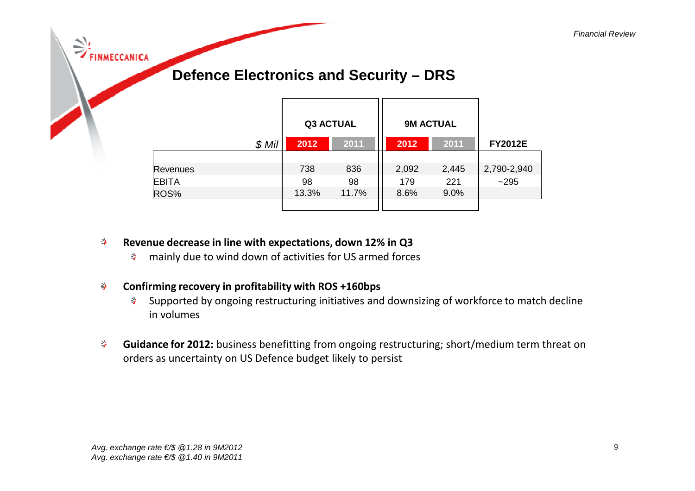| ミ<br><b>INMECCANICA</b> | <b>Defence Electronics and Security - DRS</b> |                  |       |       |                  |                |
|-------------------------|-----------------------------------------------|------------------|-------|-------|------------------|----------------|
|                         |                                               | <b>Q3 ACTUAL</b> |       |       | <b>9M ACTUAL</b> |                |
|                         | $$$ Mil                                       | 2012             | 2011  | 2012  | 2011             | <b>FY2012E</b> |
|                         |                                               |                  |       |       |                  |                |
|                         | <b>Revenues</b>                               | 738              | 836   | 2,092 | 2,445            | 2,790-2,940    |
|                         | <b>EBITA</b>                                  | 98               | 98    | 179   | 221              | ~295           |
|                         | ROS%                                          | 13.3%            | 11.7% | 8.6%  | 9.0%             |                |
|                         |                                               |                  |       |       |                  |                |

- **Revenue decrease in line with expectations, down 12% in Q3**∌
	- $\Rightarrow$ mainly due to wind down of activities for US armed forces
- **Confirming recovery in profitability with ROS +160bps**今
	- Supported by ongoing restructuring initiatives and downsizing of workforce to match decline in volumes
- **Guidance for 2012:** business benefitting from ongoing restructuring; short/medium term threat on  $\Rightarrow$ orders as uncertainty on US Defence budget likely to persist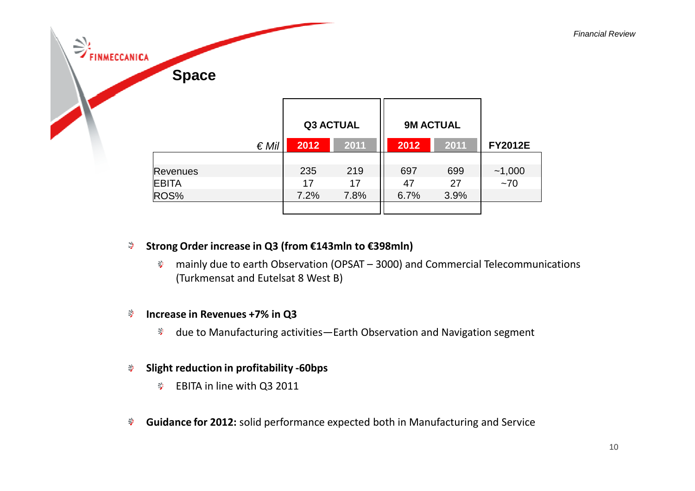| $\leq$ $\Rightarrow$ FINMECCANICA | <b>Space</b>    |                |                  |      |                  |      |                |  |
|-----------------------------------|-----------------|----------------|------------------|------|------------------|------|----------------|--|
|                                   |                 |                | <b>Q3 ACTUAL</b> |      | <b>9M ACTUAL</b> |      |                |  |
|                                   |                 | $\epsilon$ Mil | 2012             | 2011 | 2012             | 2011 | <b>FY2012E</b> |  |
|                                   |                 |                |                  |      |                  |      |                |  |
|                                   | <b>Revenues</b> |                | 235              | 219  | 697              | 699  | ~1,000         |  |
|                                   | <b>EBITA</b>    |                | 17               | 17   | 47               | 27   | ~1             |  |
|                                   | ROS%            |                | 7.2%             | 7.8% | 6.7%             | 3.9% |                |  |
|                                   |                 |                |                  |      |                  |      |                |  |

#### $\mathbb{S}_+$ **Strong Order increase in Q3 (from €143mln to €398mln)**

mainly due to earth Observation (OPSAT – 3000) and Commercial Telecommunications  $\frac{N}{2}$ (Turkmensat and Eutelsat 8 West B)

#### 今 **Increase in Revenues +7% in Q3**

 $\frac{|\mathcal{Q}|}{|\mathcal{Q}|}$ due to Manufacturing activities—Earth Observation and Navigation segment

#### **Slight reduction in profitability -60bps**今

- $\frac{N}{2}$ EBITA in line with Q3 2011
- **Guidance for 2012:** solid performance expected both in Manufacturing and Service今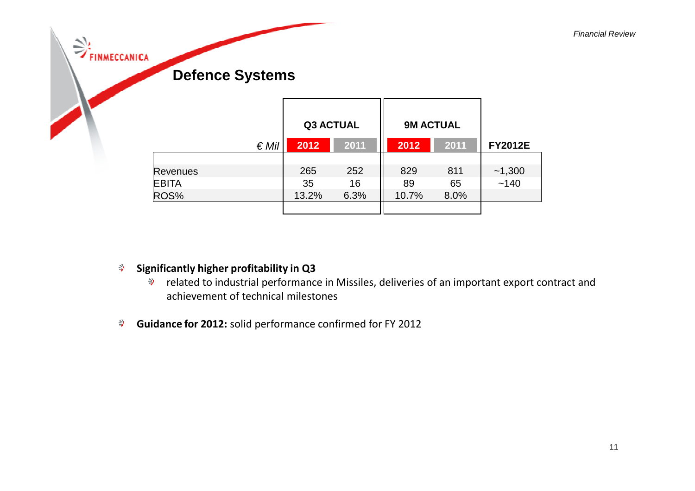| <b>FINMECCANICA</b> | <b>Defence Systems</b> |                  |      |                  |      |                |
|---------------------|------------------------|------------------|------|------------------|------|----------------|
|                     |                        | <b>Q3 ACTUAL</b> |      | <b>9M ACTUAL</b> |      |                |
|                     | $\in$ Mill             | 2012             | 2011 | 2012             | 2011 | <b>FY2012E</b> |
|                     | <b>Revenues</b>        | 265              | 252  | 829              | 811  | ~1,300         |
|                     | <b>EBITA</b>           | 35               | 16   | 89               | 65   | ~140           |
|                     | ROS%                   | 13.2%            | 6.3% | 10.7%            | 8.0% |                |
|                     |                        |                  |      |                  |      |                |

#### $\frac{\omega_{\rm t}}{2}$ **Significantly higher profitability in Q3**

- 學。 related to industrial performance in Missiles, deliveries of an important export contract and achievement of technical milestones
- $\frac{25}{2}$ **Guidance for 2012:** solid performance confirmed for FY 2012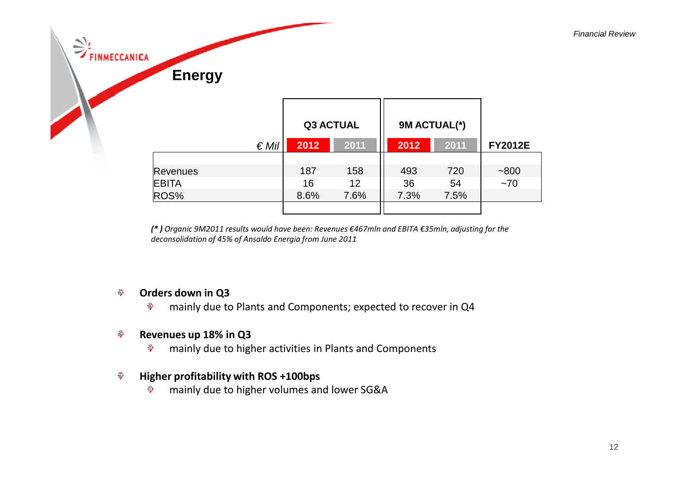| m.<br>رس<br><b>FINMECCANICA</b> | <b>Energy</b>                           |                   |                          |                      |                   |                |
|---------------------------------|-----------------------------------------|-------------------|--------------------------|----------------------|-------------------|----------------|
|                                 | $\epsilon$ Mil                          | 2012              | <b>Q3 ACTUAL</b><br>2011 | 9M ACTUAL(*)<br>2012 | 2011              | <b>FY2012E</b> |
|                                 | <b>Revenues</b><br><b>EBITA</b><br>ROS% | 187<br>16<br>8.6% | 158<br>12<br>7.6%        | 493<br>36<br>7.3%    | 720<br>54<br>7.5% | ~1800<br>~1    |
|                                 |                                         |                   |                          |                      |                   |                |

*(\* ) Organic 9M2011 results would have been: Revenues €467mln and EBITA €35mln, adjusting for the deconsolidation of 45% of Ansaldo Energia from June 2011* 

#### $\Rightarrow$ **Orders down in Q3**

 $\Rightarrow$ mainly due to Plants and Components; expected to recover in Q4

#### **Revenues up 18% in Q3** $\Rightarrow$

 $\Rightarrow$ mainly due to higher activities in Plants and Components

#### **Higher profitability with ROS +100bps** $\Rightarrow$

 $\Rightarrow$ mainly due to higher volumes and lower SG&A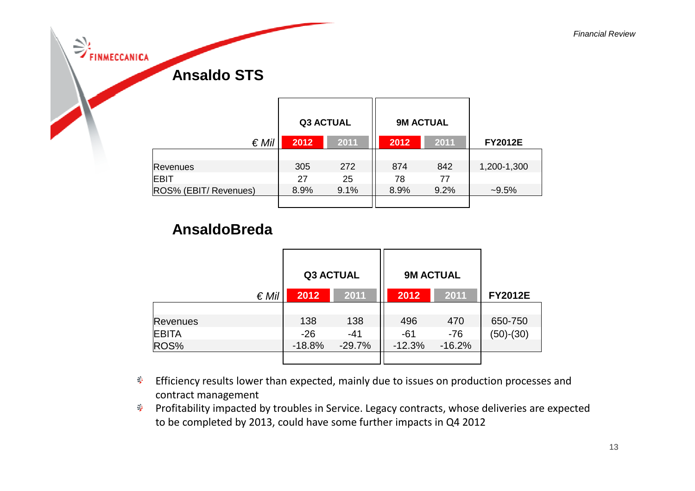| $\Rightarrow$ | <b>FINMECCANICA</b><br><b>Ansaldo STS</b> |      |                  |      |                  |                |
|---------------|-------------------------------------------|------|------------------|------|------------------|----------------|
|               |                                           |      | <b>Q3 ACTUAL</b> |      | <b>9M ACTUAL</b> |                |
|               | $\epsilon$ Mil                            | 2012 | 2011             | 2012 | 2011             | <b>FY2012E</b> |
|               |                                           |      |                  |      |                  |                |
|               | <b>Revenues</b>                           | 305  | 272              | 874  | 842              | 1,200-1,300    |
|               | <b>EBIT</b>                               | 27   | 25               | 78   | 77               |                |
|               | ROS% (EBIT/ Revenues)                     | 8.9% | 9.1%             | 8.9% | 9.2%             | $-9.5%$        |
|               |                                           |      |                  |      |                  |                |

### **AnsaldoBreda**

|                | <b>Q3 ACTUAL</b> |          | <b>9M ACTUAL</b> |          |                |
|----------------|------------------|----------|------------------|----------|----------------|
| $\epsilon$ Mil | 2012             | 2011     | 2012             | 2011     | <b>FY2012E</b> |
|                |                  |          |                  |          |                |
| Revenues       | 138              | 138      | 496              | 470      | 650-750        |
| <b>EBITA</b>   | $-26$            | $-41$    | $-61$            | $-76$    | $(50)-(30)$    |
| ROS%           | $-18.8%$         | $-29.7%$ | $-12.3%$         | $-16.2%$ |                |
|                |                  |          |                  |          |                |

- $\Rightarrow$  Efficiency results lower than expected, mainly due to issues on production processes and contract management
- Profitability impacted by troubles in Service. Legacy contracts, whose deliveries are expected to be completed by 2013, could have some further impacts in Q4 2012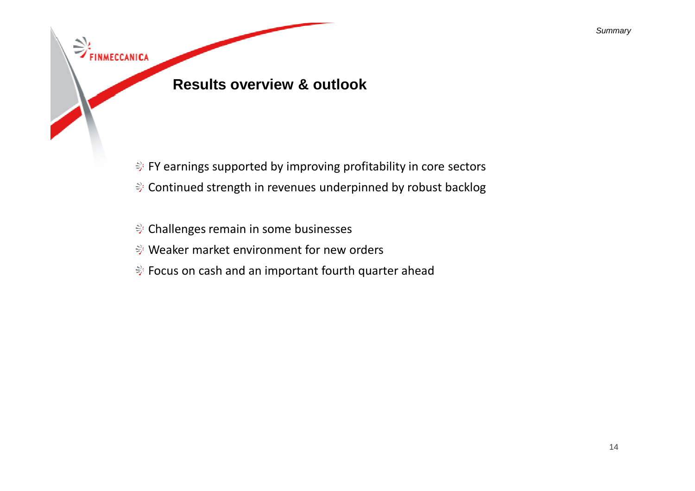# **Results overview & outlook**

FINMECCANICA

- $\Rightarrow$  FY earnings supported by improving profitability in core sectors
- Continued strength in revenues underpinned by robust backlog
- Challenges remain in some businesses
- Weaker market environment for new orders
- <del>→</del> Focus on cash and an important fourth quarter ahead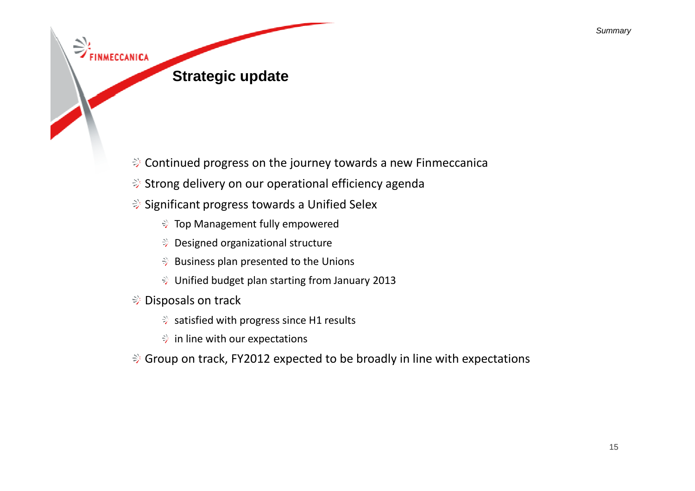

- $\Rightarrow$  Continued progress on the journey towards a new Finmeccanica
- $\Rightarrow$  Strong delivery on our operational efficiency agenda
- **Significant progress towards a Unified Selex** 
	- Top Management fully empowered
	- Designed organizational structure
	- $\Rightarrow$  Business plan presented to the Unions
	- Unified budget plan starting from January 2013
- <del></del> <del>⊘</del> Disposals on track
	- $\Rightarrow$  satisfied with progress since H1 results
	- in line with our expectations
- $\Rightarrow$  Group on track, FY2012 expected to be broadly in line with expectations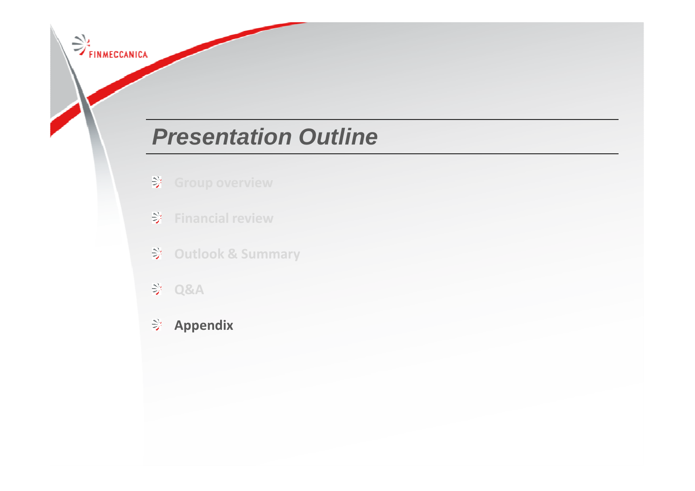# **Presentation Outline**

- **Group overview**
- **Financial review**
- **Outlook & Summary**
- **A&A**

FINMECCANICA

**Appendix**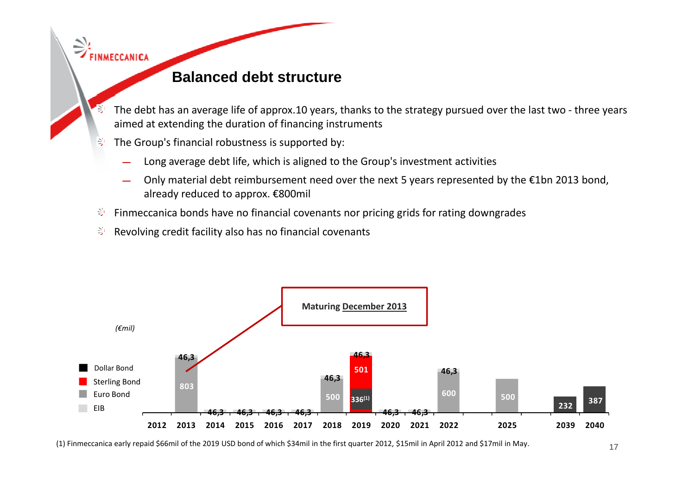### **Balanced debt structure**

- The debt has an average life of approx.10 years, thanks to the strategy pursued over the last two three years aimed at extending the duration of financing instruments
- $\geq$ The Group's financial robustness is supported by:

 $\Rightarrow$  FINMECCANICA

- Long average debt life, which is aligned to the Group's investment activities
- Only material debt reimbursement need over the next 5 years represented by the €1bn 2013 bond, already reduced to approx. €800mil
- ₹ Finmeccanica bonds have no financial covenants nor pricing grids for rating downgrades
- $\geq$ Revolving credit facility also has no financial covenants



(1) Finmeccanica early repaid \$66mil of the 2019 USD bond of which \$34mil in the first quarter 2012, \$15mil in April 2012 and \$17mil in May.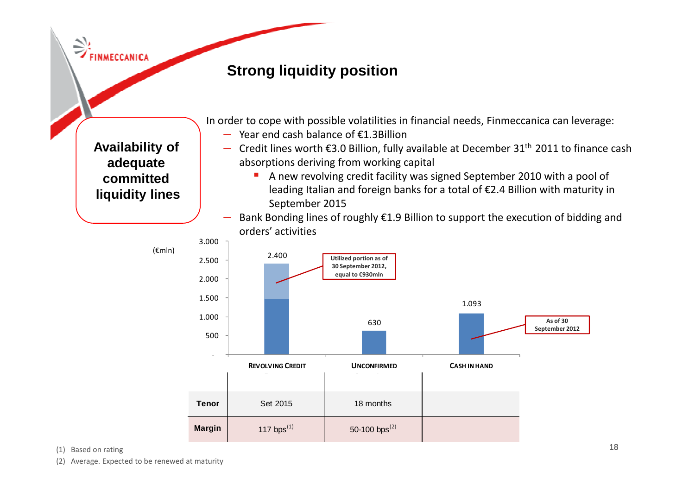$\Rightarrow$  FINMECCANICA

**committed**

**liquidity lines**

## **Strong liquidity position**

**Availability ofadequate**–

In order to cope with possible volatilities in financial needs, Finmeccanica can leverage:

- Year end cash balance of €1.3Billion
- Credit lines worth  $\epsilon$ 3.0 Billion, fully available at December 31<sup>th</sup> 2011 to finance cash absorptions deriving from working capital
	- $\blacksquare$  A new revolving credit facility was signed September 2010 with a pool of leading Italian and foreign banks for a total of €2.4 Billion with maturity in September 2015
- Bank Bonding lines of roughly €1.9 Billion to support the execution of bidding and –orders' activities



(1) Based on rating

(2) Average. Expected to be renewed at maturity